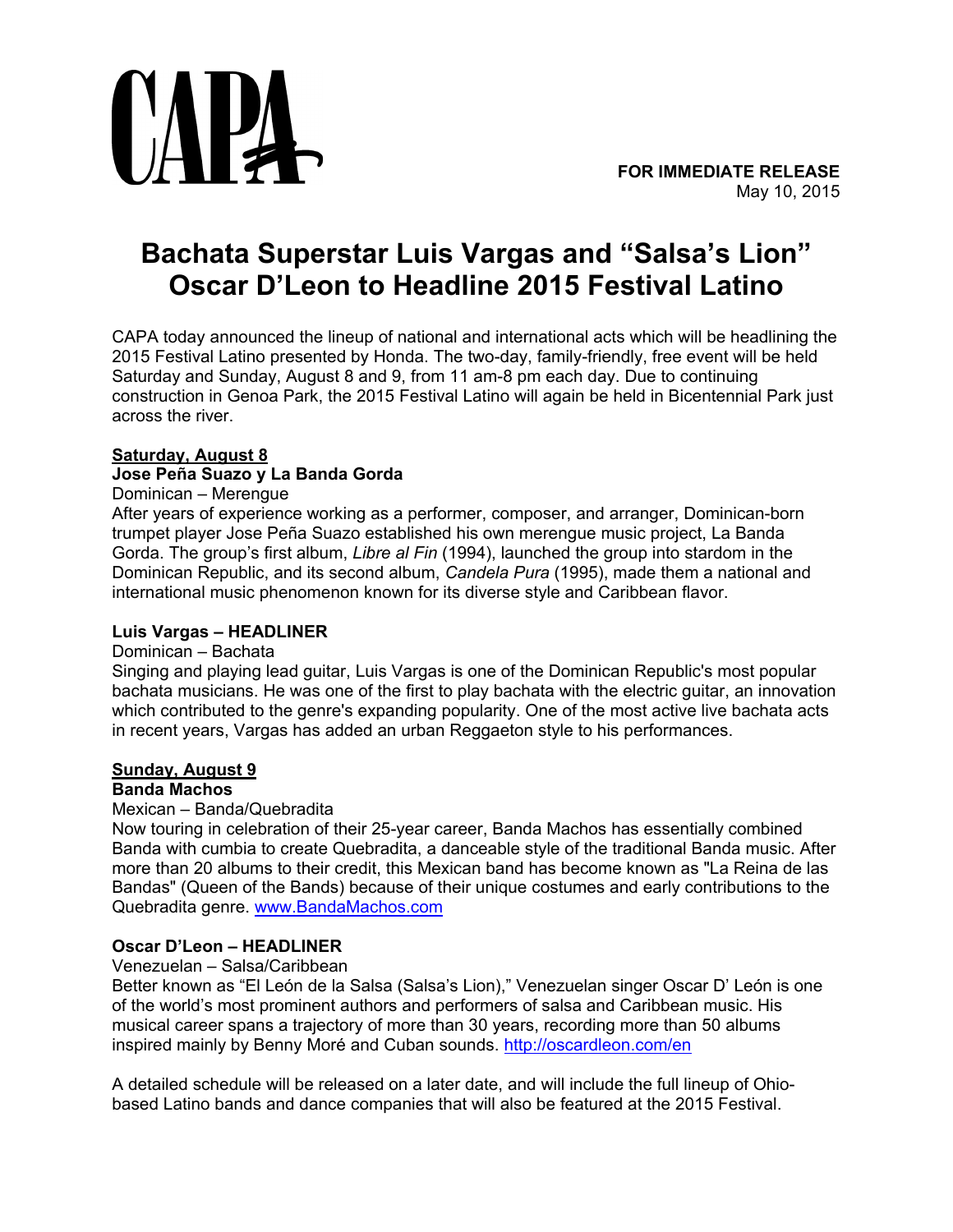

# **Bachata Superstar Luis Vargas and "Salsa's Lion" Oscar D'Leon to Headline 2015 Festival Latino**

CAPA today announced the lineup of national and international acts which will be headlining the 2015 Festival Latino presented by Honda. The two-day, family-friendly, free event will be held Saturday and Sunday, August 8 and 9, from 11 am-8 pm each day. Due to continuing construction in Genoa Park, the 2015 Festival Latino will again be held in Bicentennial Park just across the river.

# **Saturday, August 8**

# **Jose Peña Suazo y La Banda Gorda**

## Dominican – Merengue

After years of experience working as a performer, composer, and arranger, Dominican-born trumpet player Jose Peña Suazo established his own merengue music project, La Banda Gorda. The group's first album, *Libre al Fin* (1994), launched the group into stardom in the Dominican Republic, and its second album, *Candela Pura* (1995), made them a national and international music phenomenon known for its diverse style and Caribbean flavor.

# **Luis Vargas – HEADLINER**

### Dominican – Bachata

Singing and playing lead guitar, Luis Vargas is one of the Dominican Republic's most popular bachata musicians. He was one of the first to play bachata with the electric guitar, an innovation which contributed to the genre's expanding popularity. One of the most active live bachata acts in recent years, Vargas has added an urban Reggaeton style to his performances.

# **Sunday, August 9**

# **Banda Machos**

### Mexican – Banda/Quebradita

Now touring in celebration of their 25-year career, Banda Machos has essentially combined Banda with cumbia to create Quebradita, a danceable style of the traditional Banda music. After more than 20 albums to their credit, this Mexican band has become known as "La Reina de las Bandas" (Queen of the Bands) because of their unique costumes and early contributions to the Quebradita genre. [www.BandaMachos.com](http://www.bandamachos.com/)

### **Oscar D'Leon – HEADLINER**

### Venezuelan – Salsa/Caribbean

Better known as "El León de la Salsa (Salsa's Lion)," Venezuelan singer Oscar D' León is one of the world's most prominent authors and performers of salsa and Caribbean music. His musical career spans a trajectory of more than 30 years, recording more than 50 albums inspired mainly by Benny Moré and Cuban sounds. <http://oscardleon.com/en>

A detailed schedule will be released on a later date, and will include the full lineup of Ohiobased Latino bands and dance companies that will also be featured at the 2015 Festival.